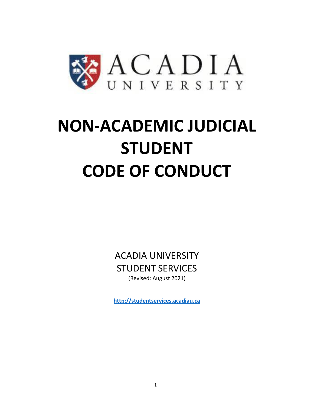

# **NON-ACADEMIC JUDICIAL STUDENT CODE OF CONDUCT**

ACADIA UNIVERSITY STUDENT SERVICES (Revised: August 2021)

**[http://studentservices.acadiau.ca](http://studentservices.acadiau.ca/)**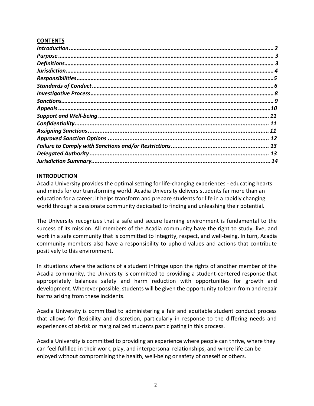## **CONTENTS**

| 12 |
|----|
|    |
| 13 |
|    |

## <span id="page-1-0"></span>**INTRODUCTION**

Acadia University provides the optimal setting for life-changing experiences - educating hearts and minds for our transforming world. Acadia University delivers students far more than an education for a career; it helps transform and prepare students for life in a rapidly changing world through a passionate community dedicated to finding and unleashing their potential.

The University recognizes that a safe and secure learning environment is fundamental to the success of its mission. All members of the Acadia community have the right to study, live, and work in a safe community that is committed to integrity, respect, and well-being. In turn, Acadia community members also have a responsibility to uphold values and actions that contribute positively to this environment.

In situations where the actions of a student infringe upon the rights of another member of the Acadia community, the University is committed to providing a student-centered response that appropriately balances safety and harm reduction with opportunities for growth and development. Wherever possible, students will be given the opportunity to learn from and repair harms arising from these incidents.

Acadia University is committed to administering a fair and equitable student conduct process that allows for flexibility and discretion, particularly in response to the differing needs and experiences of at-risk or marginalized students participating in this process.

Acadia University is committed to providing an experience where people can thrive, where they can feel fulfilled in their work, play, and interpersonal relationships, and where life can be enjoyed without compromising the health, well-being or safety of oneself or others.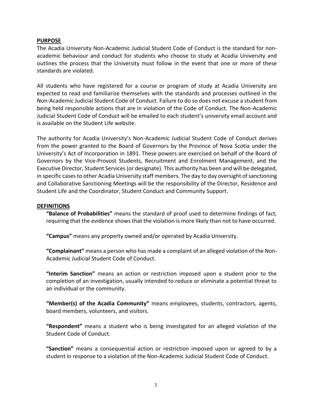#### <span id="page-2-0"></span>**PURPOSE**

The Acadia University Non-Academic Judicial Student Code of Conduct is the standard for nonacademic behaviour and conduct for students who choose to study at Acadia University and outlines the process that the University must follow in the event that one or more of these standards are violated.

All students who have registered for a course or program of study at Acadia University are expected to read and familiarize themselves with the standards and processes outlined in the Non-Academic Judicial Student Code of Conduct. Failure to do so does not excuse a student from being held responsible actions that are in violation of the Code of Conduct. The Non-Academic Judicial Student Code of Conduct will be emailed to each student's university email account and is available on the Student Life website.

The authority for Acadia University's Non-Academic Judicial Student Code of Conduct derives from the power granted to the Board of Governors by the Province of Nova Scotia under the University's Act of Incorporation in 1891. These powers are exercised on behalf of the Board of Governors by the Vice-Provost Students, Recruitment and Enrolment Management, and the Executive Director, Student Services (or designate). This authority has been and will be delegated, in specific cases to other Acadia University staff members. The day to day oversight of sanctioning and Collaborative Sanctioning Meetings will be the responsibility of the Director, Residence and Student Life and the Coordinator, Student Conduct and Community Support.

#### <span id="page-2-1"></span>**DEFINITIONS**

**"Balance of Probabilities"** means the standard of proof used to determine findings of fact, requiring that the evidence shows that the violation is more likely than not to have occurred.

**"Campus"** means any property owned and/or operated by Acadia University.

**"Complainant"** means a person who has made a complaint of an alleged violation of the Non-Academic Judicial Student Code of Conduct.

**"Interim Sanction"** means an action or restriction imposed upon a student prior to the completion of an investigation, usually intended to reduce or eliminate a potential threat to an individual or the community.

**"Member(s) of the Acadia Community"** means employees, students, contractors, agents, board members, volunteers, and visitors.

**"Respondent"** means a student who is being investigated for an alleged violation of the Student Code of Conduct.

**"Sanction"** means a consequential action or restriction imposed upon or agreed to by a student in response to a violation of the Non-Academic Judicial Student Code of Conduct.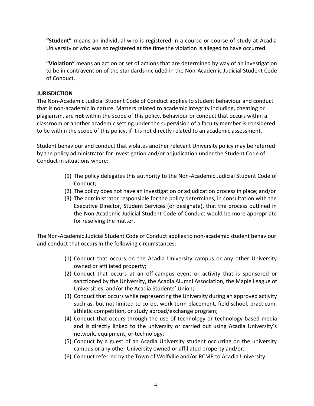**"Student"** means an individual who is registered in a course or course of study at Acadia University or who was so registered at the time the violation is alleged to have occurred.

**"Violation"** means an action or set of actions that are determined by way of an investigation to be in contravention of the standards included in the Non-Academic Judicial Student Code of Conduct.

# <span id="page-3-0"></span>**JURISDICTION**

The Non-Academic Judicial Student Code of Conduct applies to student behaviour and conduct that is non-academic in nature. Matters related to academic integrity including, cheating or plagiarism, are **not** within the scope of this policy. Behaviour or conduct that occurs within a classroom or another academic setting under the supervision of a faculty member is considered to be within the scope of this policy, if it is not directly related to an academic assessment.

Student behaviour and conduct that violates another relevant University policy may be referred by the policy administrator for investigation and/or adjudication under the Student Code of Conduct in situations where:

- (1) The policy delegates this authority to the Non-Academic Judicial Student Code of Conduct;
- (2) The policy does not have an investigation or adjudication process in place; and/or
- (3) The administrator responsible for the policy determines, in consultation with the Executive Director, Student Services (or designate), that the process outlined in the Non-Academic Judicial Student Code of Conduct would be more appropriate for resolving the matter.

The Non-Academic Judicial Student Code of Conduct applies to non-academic student behaviour and conduct that occurs in the following circumstances:

- (1) Conduct that occurs on the Acadia University campus or any other University owned or affiliated property;
- (2) Conduct that occurs at an off-campus event or activity that is sponsored or sanctioned by the University, the Acadia Alumni Association, the Maple League of Universities, and/or the Acadia Students' Union;
- (3) Conduct that occurs while representing the University during an approved activity such as, but not limited to co-op, work-term placement, field school, practicum, athletic competition, or study abroad/exchange program;
- (4) Conduct that occurs through the use of technology or technology-based media and is directly linked to the university or carried out using Acadia University's network, equipment, or technology;
- (5) Conduct by a guest of an Acadia University student occurring on the university campus or any other University owned or affiliated property and/or;
- (6) Conduct referred by the Town of Wolfville and/or RCMP to Acadia University.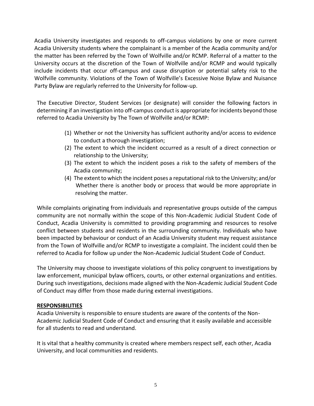Acadia University investigates and responds to off-campus violations by one or more current Acadia University students where the complainant is a member of the Acadia community and/or the matter has been referred by the Town of Wolfville and/or RCMP. Referral of a matter to the University occurs at the discretion of the Town of Wolfville and/or RCMP and would typically include incidents that occur off-campus and cause disruption or potential safety risk to the Wolfville community. Violations of the Town of Wolfville's Excessive Noise Bylaw and Nuisance Party Bylaw are regularly referred to the University for follow-up.

The Executive Director, Student Services (or designate) will consider the following factors in determining if an investigation into off-campus conduct is appropriate for incidents beyond those referred to Acadia University by The Town of Wolfville and/or RCMP:

- (1) Whether or not the University has sufficient authority and/or access to evidence to conduct a thorough investigation;
- (2) The extent to which the incident occurred as a result of a direct connection or relationship to the University;
- (3) The extent to which the incident poses a risk to the safety of members of the Acadia community;
- (4) The extent to which the incident poses a reputational risk to the University; and/or Whether there is another body or process that would be more appropriate in resolving the matter.

While complaints originating from individuals and representative groups outside of the campus community are not normally within the scope of this Non-Academic Judicial Student Code of Conduct, Acadia University is committed to providing programming and resources to resolve conflict between students and residents in the surrounding community. Individuals who have been impacted by behaviour or conduct of an Acadia University student may request assistance from the Town of Wolfville and/or RCMP to investigate a complaint. The incident could then be referred to Acadia for follow up under the Non-Academic Judicial Student Code of Conduct.

The University may choose to investigate violations of this policy congruent to investigations by law enforcement, municipal bylaw officers, courts, or other external organizations and entities. During such investigations, decisions made aligned with the Non-Academic Judicial Student Code of Conduct may differ from those made during external investigations.

# <span id="page-4-0"></span>**RESPONSIBILITIES**

Acadia University is responsible to ensure students are aware of the contents of the Non-Academic Judicial Student Code of Conduct and ensuring that it easily available and accessible for all students to read and understand.

It is vital that a healthy community is created where members respect self, each other, Acadia University, and local communities and residents.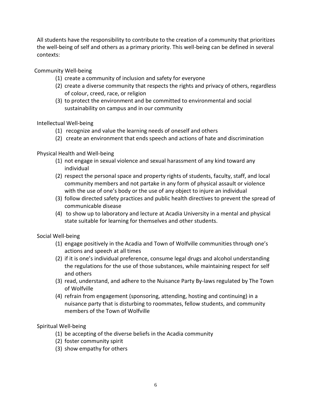All students have the responsibility to contribute to the creation of a community that prioritizes the well-being of self and others as a primary priority. This well-being can be defined in several contexts:

Community Well-being

- (1) create a community of inclusion and safety for everyone
- (2) create a diverse community that respects the rights and privacy of others, regardless of colour, creed, race, or religion
- (3) to protect the environment and be committed to environmental and social sustainability on campus and in our community

Intellectual Well-being

- (1) recognize and value the learning needs of oneself and others
- (2) create an environment that ends speech and actions of hate and discrimination

Physical Health and Well-being

- (1) not engage in sexual violence and sexual harassment of any kind toward any individual
- (2) respect the personal space and property rights of students, faculty, staff, and local community members and not partake in any form of physical assault or violence with the use of one's body or the use of any object to injure an individual
- (3) follow directed safety practices and public health directives to prevent the spread of communicable disease
- (4) to show up to laboratory and lecture at Acadia University in a mental and physical state suitable for learning for themselves and other students.

Social Well-being

- (1) engage positively in the Acadia and Town of Wolfville communities through one's actions and speech at all times
- (2) if it is one's individual preference, consume legal drugs and alcohol understanding the regulations for the use of those substances, while maintaining respect for self and others
- (3) read, understand, and adhere to the Nuisance Party By-laws regulated by The Town of Wolfville
- (4) refrain from engagement (sponsoring, attending, hosting and continuing) in a nuisance party that is disturbing to roommates, fellow students, and community members of the Town of Wolfville

Spiritual Well-being

- (1) be accepting of the diverse beliefs in the Acadia community
- (2) foster community spirit
- <span id="page-5-0"></span>(3) show empathy for others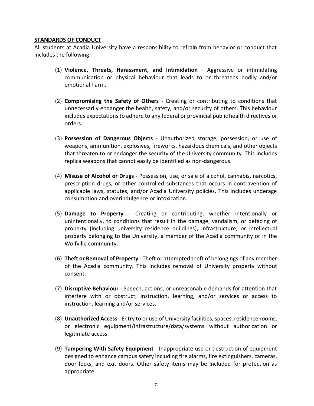## **STANDARDS OF CONDUCT**

All students at Acadia University have a responsibility to refrain from behavior or conduct that includes the following:

- (1) **Violence, Threats, Harassment, and Intimidation** Aggressive or intimidating communication or physical behaviour that leads to or threatens bodily and/or emotional harm.
- (2) **Compromising the Safety of Others**  Creating or contributing to conditions that unnecessarily endanger the health, safety, and/or security of others. This behaviour includes expectations to adhere to any federal or provincial public health directives or orders.
- (3) **Possession of Dangerous Objects** Unauthorized storage, possession, or use of weapons, ammunition, explosives, fireworks, hazardous chemicals, and other objects that threaten to or endanger the security of the University community. This includes replica weapons that cannot easily be identified as non-dangerous.
- (4) **Misuse of Alcohol or Drugs**  Possession, use, or sale of alcohol, cannabis, narcotics, prescription drugs, or other controlled substances that occurs in contravention of applicable laws, statutes, and/or Acadia University policies. This includes underage consumption and overindulgence or intoxication.
- (5) **Damage to Property** Creating or contributing, whether intentionally or unintentionally, to conditions that result in the damage, vandalism, or defacing of property (including university residence buildings), infrastructure, or intellectual property belonging to the University, a member of the Acadia community or in the Wolfville community.
- (6) **Theft or Removal of Property** Theft or attempted theft of belongings of any member of the Acadia community. This includes removal of University property without consent.
- (7) **Disruptive Behaviour**  Speech, actions, or unreasonable demands for attention that interfere with or obstruct, instruction, learning, and/or services or access to instruction, learning and/or services.
- (8) **Unauthorized Access** Entry to or use of University facilities,spaces, residence rooms, or electronic equipment/infrastructure/data/systems without authorization or legitimate access.
- (9) **Tampering With Safety Equipment**  Inappropriate use or destruction of equipment designed to enhance campus safety including fire alarms, fire extinguishers, cameras, door locks, and exit doors. Other safety items may be included for protection as appropriate.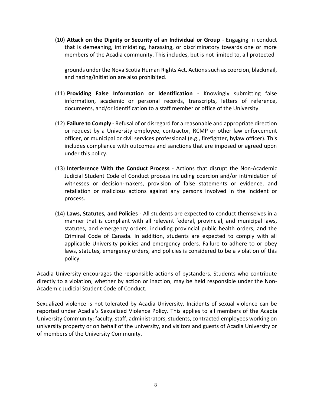(10) **Attack on the Dignity or Security of an Individual or Group** - Engaging in conduct that is demeaning, intimidating, harassing, or discriminatory towards one or more members of the Acadia community. This includes, but is not limited to, all protected

grounds under the Nova Scotia Human Rights Act. Actions such as coercion, blackmail, and hazing/initiation are also prohibited.

- (11) **Providing False Information or Identification** Knowingly submitting false information, academic or personal records, transcripts, letters of reference, documents, and/or identification to a staff member or office of the University.
- (12) **Failure to Comply** Refusal of or disregard for a reasonable and appropriate direction or request by a University employee, contractor, RCMP or other law enforcement officer, or municipal or civil services professional (e.g., firefighter, bylaw officer). This includes compliance with outcomes and sanctions that are imposed or agreed upon under this policy.
- (13) **Interference With the Conduct Process**  Actions that disrupt the Non-Academic Judicial Student Code of Conduct process including coercion and/or intimidation of witnesses or decision-makers, provision of false statements or evidence, and retaliation or malicious actions against any persons involved in the incident or process.
- (14) **Laws, Statutes, and Policies**  All students are expected to conduct themselves in a manner that is compliant with all relevant federal, provincial, and municipal laws, statutes, and emergency orders, including provincial public health orders, and the Criminal Code of Canada. In addition, students are expected to comply with all applicable University policies and emergency orders. Failure to adhere to or obey laws, statutes, emergency orders, and policies is considered to be a violation of this policy.

Acadia University encourages the responsible actions of bystanders. Students who contribute directly to a violation, whether by action or inaction, may be held responsible under the Non-Academic Judicial Student Code of Conduct.

<span id="page-7-0"></span>Sexualized violence is not tolerated by Acadia University. Incidents of sexual violence can be reported under Acadia's Sexualized Violence Policy. This applies to all members of the Acadia University Community: faculty, staff, administrators, students, contracted employees working on university property or on behalf of the university, and visitors and guests of Acadia University or of members of the University Community.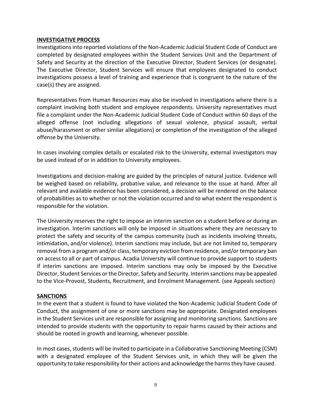## **INVESTIGATIVE PROCESS**

Investigations into reported violations of the Non-Academic Judicial Student Code of Conduct are completed by designated employees within the Student Services Unit and the Department of Safety and Security at the direction of the Executive Director, Student Services (or designate). The Executive Director, Student Services will ensure that employees designated to conduct investigations possess a level of training and experience that is congruent to the nature of the case(s) they are assigned.

Representatives from Human Resources may also be involved in investigations where there is a complaint involving both student and employee respondents. University representatives must file a complaint under the Non-Academic Judicial Student Code of Conduct within 60 days of the alleged offense (not including allegations of sexual violence, physical assault, verbal abuse/harassment or other similar allegations) or completion of the investigation of the alleged offense by the University.

In cases involving complex details or escalated risk to the University, external investigators may be used instead of or in addition to University employees.

Investigations and decision-making are guided by the principles of natural justice. Evidence will be weighed based on reliability, probative value, and relevance to the issue at hand. After all relevant and available evidence has been considered, a decision will be rendered on the balance of probabilities as to whether or not the violation occurred and to what extent the respondent is responsible for the violation.

The University reserves the right to impose an interim sanction on a student before or during an investigation. Interim sanctions will only be imposed in situations where they are necessary to protect the safety and security of the campus community (such as incidents involving threats, intimidation, and/or violence). Interim sanctions may include, but are not limited to, temporary removal from a program and/or class, temporary eviction from residence, and/or temporary ban on access to all or part of campus. Acadia University will continue to provide support to students if interim sanctions are imposed. Interim sanctions may only be imposed by the Executive Director, Student Services or the Director, Safety and Security. Interim sanctions may be appealed to the Vice-Provost, Students, Recruitment, and Enrolment Management. (see Appeals section)

#### **SANCTIONS**

In the event that a student is found to have violated the Non-Academic Judicial Student Code of Conduct, the assignment of one or more sanctions may be appropriate. Designated employees in the Student Services unit are responsible for assigning and monitoring sanctions. Sanctions are intended to provide students with the opportunity to repair harms caused by their actions and should be rooted in growth and learning, whenever possible.

In most cases, students will be invited to participate in a Collaborative Sanctioning Meeting (CSM) with a designated employee of the Student Services unit, in which they will be given the opportunity to take responsibility for their actions and acknowledge the harms they have caused.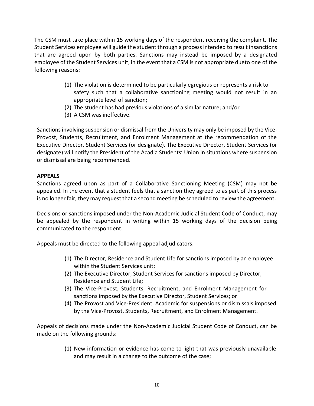The CSM must take place within 15 working days of the respondent receiving the complaint. The Student Services employee will guide the student through a processintended to result insanctions that are agreed upon by both parties. Sanctions may instead be imposed by a designated employee of the Student Services unit, in the event that a CSM is not appropriate dueto one of the following reasons:

- (1) The violation is determined to be particularly egregious or represents a risk to safety such that a collaborative sanctioning meeting would not result in an appropriate level of sanction;
- (2) The student has had previous violations of a similar nature; and/or
- (3) A CSM was ineffective.

Sanctions involving suspension or dismissal from the University may only be imposed by the Vice-Provost, Students, Recruitment, and Enrolment Management at the recommendation of the Executive Director, Student Services (or designate). The Executive Director, Student Services (or designate) will notify the President of the Acadia Students' Union in situations where suspension or dismissal are being recommended.

## **APPEALS**

Sanctions agreed upon as part of a Collaborative Sanctioning Meeting (CSM) may not be appealed. In the event that a student feels that a sanction they agreed to as part of this process is no longerfair, they may request that a second meeting be scheduled to review the agreement.

Decisions or sanctions imposed under the Non-Academic Judicial Student Code of Conduct, may be appealed by the respondent in writing within 15 working days of the decision being communicated to the respondent.

Appeals must be directed to the following appeal adjudicators:

- (1) The Director, Residence and Student Life for sanctions imposed by an employee within the Student Services unit;
- (2) The Executive Director, Student Services for sanctions imposed by Director, Residence and Student Life;
- (3) The Vice-Provost, Students, Recruitment, and Enrolment Management for sanctions imposed by the Executive Director, Student Services; or
- (4) The Provost and Vice-President, Academic for suspensions or dismissals imposed by the Vice-Provost, Students, Recruitment, and Enrolment Management.

Appeals of decisions made under the Non-Academic Judicial Student Code of Conduct, can be made on the following grounds:

> (1) New information or evidence has come to light that was previously unavailable and may result in a change to the outcome of the case;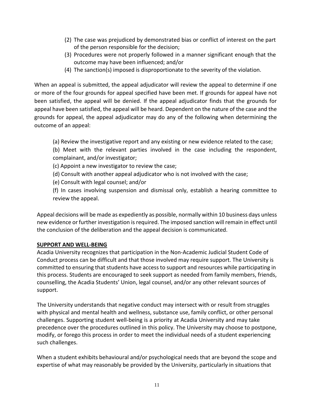- (2) The case was prejudiced by demonstrated bias or conflict of interest on the part of the person responsible for the decision;
- (3) Procedures were not properly followed in a manner significant enough that the outcome may have been influenced; and/or
- (4) The sanction(s) imposed is disproportionate to the severity of the violation.

When an appeal is submitted, the appeal adjudicator will review the appeal to determine if one or more of the four grounds for appeal specified have been met. If grounds for appeal have not been satisfied, the appeal will be denied. If the appeal adjudicator finds that the grounds for appeal have been satisfied, the appeal will be heard. Dependent on the nature of the case and the grounds for appeal, the appeal adjudicator may do any of the following when determining the outcome of an appeal:

(a) Review the investigative report and any existing or new evidence related to the case;

(b) Meet with the relevant parties involved in the case including the respondent, complainant, and/or investigator;

- (c) Appoint a new investigator to review the case;
- (d) Consult with another appeal adjudicator who is not involved with the case;
- (e) Consult with legal counsel; and/or

(f) In cases involving suspension and dismissal only, establish a hearing committee to review the appeal.

Appeal decisions will be made as expediently as possible, normally within 10 business days unless new evidence or further investigation is required. The imposed sanction will remain in effect until the conclusion of the deliberation and the appeal decision is communicated.

# **SUPPORT AND WELL-BEING**

Acadia University recognizes that participation in the Non-Academic Judicial Student Code of Conduct process can be difficult and that those involved may require support. The University is committed to ensuring that students have access to support and resources while participating in this process. Students are encouraged to seek support as needed from family members, friends, counselling, the Acadia Students' Union, legal counsel, and/or any other relevant sources of support.

The University understands that negative conduct may intersect with or result from struggles with physical and mental health and wellness, substance use, family conflict, or other personal challenges. Supporting student well-being is a priority at Acadia University and may take precedence over the procedures outlined in this policy. The University may choose to postpone, modify, or forego this process in order to meet the individual needs of a student experiencing such challenges.

When a student exhibits behavioural and/or psychological needs that are beyond the scope and expertise of what may reasonably be provided by the University, particularly in situations that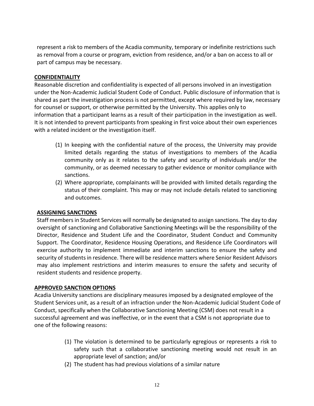represent a risk to members of the Acadia community, temporary or indefinite restrictions such as removal from a course or program, eviction from residence, and/or a ban on access to all or part of campus may be necessary.

# **CONFIDENTIALITY**

Reasonable discretion and confidentiality is expected of all persons involved in an investigation under the Non-Academic Judicial Student Code of Conduct. Public disclosure of information that is shared as part the investigation process is not permitted, except where required by law, necessary for counsel or support, or otherwise permitted by the University. This applies only to information that a participant learns as a result of their participation in the investigation as well. It is not intended to prevent participants from speaking in first voice about their own experiences with a related incident or the investigation itself.

- (1) In keeping with the confidential nature of the process, the University may provide limited details regarding the status of investigations to members of the Acadia community only as it relates to the safety and security of individuals and/or the community, or as deemed necessary to gather evidence or monitor compliance with sanctions.
- (2) Where appropriate, complainants will be provided with limited details regarding the status of their complaint. This may or may not include details related to sanctioning and outcomes.

# **ASSIGNING SANCTIONS**

Staff members in Student Services will normally be designated to assign sanctions. The day to day oversight of sanctioning and Collaborative Sanctioning Meetings will be the responsibility of the Director, Residence and Student Life and the Coordinator, Student Conduct and Community Support. The Coordinator, Residence Housing Operations, and Residence Life Coordinators will exercise authority to implement immediate and interim sanctions to ensure the safety and security of students in residence. There will be residence matters where Senior Resident Advisors may also implement restrictions and interim measures to ensure the safety and security of resident students and residence property.

# **APPROVED SANCTION OPTIONS**

Acadia University sanctions are disciplinary measures imposed by a designated employee of the Student Services unit, as a result of an infraction under the Non-Academic Judicial Student Code of Conduct, specifically when the Collaborative Sanctioning Meeting (CSM) does not result in a successful agreement and was ineffective, or in the event that a CSM is not appropriate due to one of the following reasons:

- (1) The violation is determined to be particularly egregious or represents a risk to safety such that a collaborative sanctioning meeting would not result in an appropriate level of sanction; and/or
- (2) The student has had previous violations of a similar nature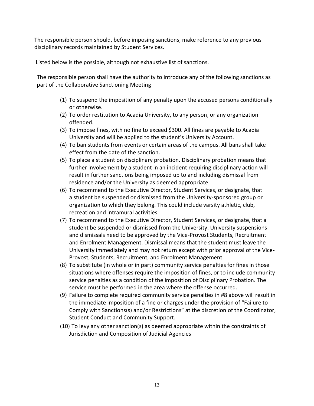The responsible person should, before imposing sanctions, make reference to any previous disciplinary records maintained by Student Services.

Listed below is the possible, although not exhaustive list of sanctions.

The responsible person shall have the authority to introduce any of the following sanctions as part of the Collaborative Sanctioning Meeting

- (1) To suspend the imposition of any penalty upon the accused persons conditionally or otherwise.
- (2) To order restitution to Acadia University, to any person, or any organization offended.
- (3) To impose fines, with no fine to exceed \$300. All fines are payable to Acadia University and will be applied to the student's University Account.
- (4) To ban students from events or certain areas of the campus. All bans shall take effect from the date of the sanction.
- (5) To place a student on disciplinary probation. Disciplinary probation means that further involvement by a student in an incident requiring disciplinary action will result in further sanctions being imposed up to and including dismissal from residence and/or the University as deemed appropriate.
- (6) To recommend to the Executive Director, Student Services, or designate, that a student be suspended or dismissed from the University-sponsored group or organization to which they belong. This could include varsity athletic, club, recreation and intramural activities.
- (7) To recommend to the Executive Director, Student Services, or designate, that a student be suspended or dismissed from the University. University suspensions and dismissals need to be approved by the Vice-Provost Students, Recruitment and Enrolment Management. Dismissal means that the student must leave the University immediately and may not return except with prior approval of the Vice-Provost, Students, Recruitment, and Enrolment Management.
- (8) To substitute (in whole or in part) community service penalties for fines in those situations where offenses require the imposition of fines, or to include community service penalties as a condition of the imposition of Disciplinary Probation. The service must be performed in the area where the offense occurred.
- (9) Failure to complete required community service penalties in #8 above will result in the immediate imposition of a fine or charges under the provision of "Failure to Comply with Sanctions(s) and/or Restrictions" at the discretion of the Coordinator, Student Conduct and Community Support.
- (10) To levy any other sanction(s) as deemed appropriate within the constraints of Jurisdiction and Composition of Judicial Agencies